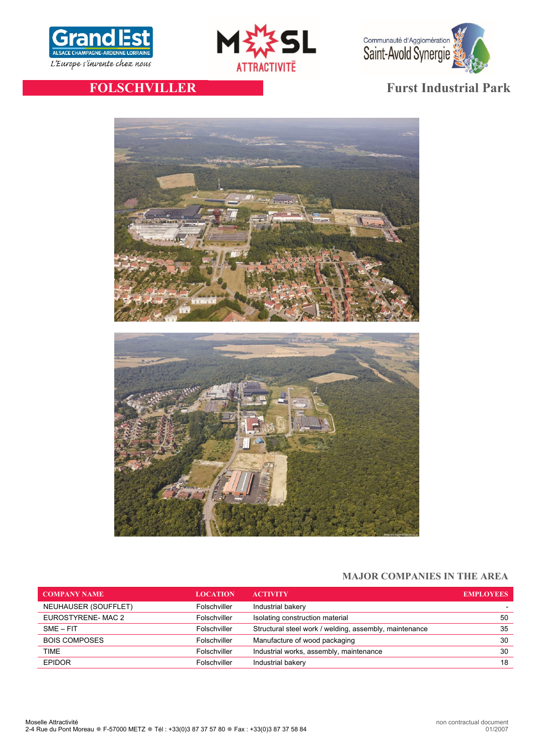





# **FOLSCHVILLER Furst Industrial Park**



# **MAJOR COMPANIES IN THE AREA**

| <b>COMPANY NAME</b>  | <b>LOCATION</b> | <b>ACTIVITY</b>                                        | <b>EMPLOYEES</b> |
|----------------------|-----------------|--------------------------------------------------------|------------------|
| NEUHAUSER (SOUFFLET) | Folschviller    | Industrial bakery                                      |                  |
| EUROSTYRENE-MAC 2    | Folschviller    | Isolating construction material                        | 50               |
| $SME - FIT$          | Folschviller    | Structural steel work / welding, assembly, maintenance | 35               |
| <b>BOIS COMPOSES</b> | Folschviller    | Manufacture of wood packaging                          | 30               |
| <b>TIME</b>          | Folschviller    | Industrial works, assembly, maintenance                | 30               |
| <b>EPIDOR</b>        | Folschviller    | Industrial bakery                                      | 18               |